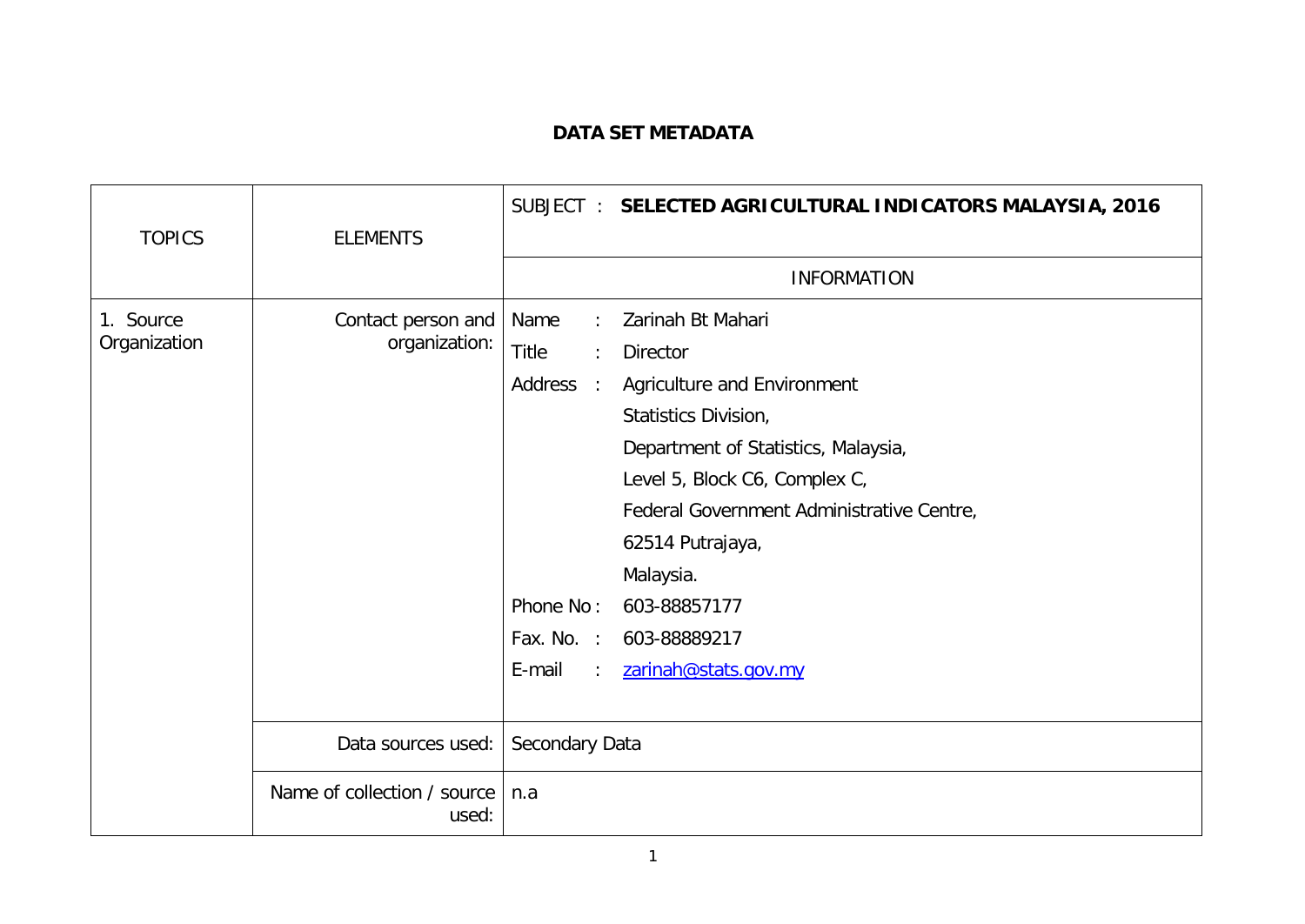## **DATA SET METADATA**

| <b>TOPICS</b>             | <b>ELEMENTS</b>                      |                                                                                                                           | SUBJECT: SELECTED AGRICULTURAL INDICATORS MALAYSIA, 2016                                                                                                                                                                                                                                                  |
|---------------------------|--------------------------------------|---------------------------------------------------------------------------------------------------------------------------|-----------------------------------------------------------------------------------------------------------------------------------------------------------------------------------------------------------------------------------------------------------------------------------------------------------|
|                           |                                      |                                                                                                                           | <b>INFORMATION</b>                                                                                                                                                                                                                                                                                        |
| 1. Source<br>Organization | Contact person and<br>organization:  | Name<br>Title<br>$\ddot{\phantom{a}}$<br>Address<br>$\sim$ 10<br>Phone No:<br>Fax. No. :<br>E-mail<br>$\mathcal{L}^{\pm}$ | Zarinah Bt Mahari<br><b>Director</b><br>Agriculture and Environment<br>Statistics Division,<br>Department of Statistics, Malaysia,<br>Level 5, Block C6, Complex C,<br>Federal Government Administrative Centre,<br>62514 Putrajaya,<br>Malaysia.<br>603-88857177<br>603-88889217<br>zarinah@stats.gov.my |
|                           | Data sources used:                   | Secondary Data                                                                                                            |                                                                                                                                                                                                                                                                                                           |
|                           | Name of collection / source<br>used: | n.a                                                                                                                       |                                                                                                                                                                                                                                                                                                           |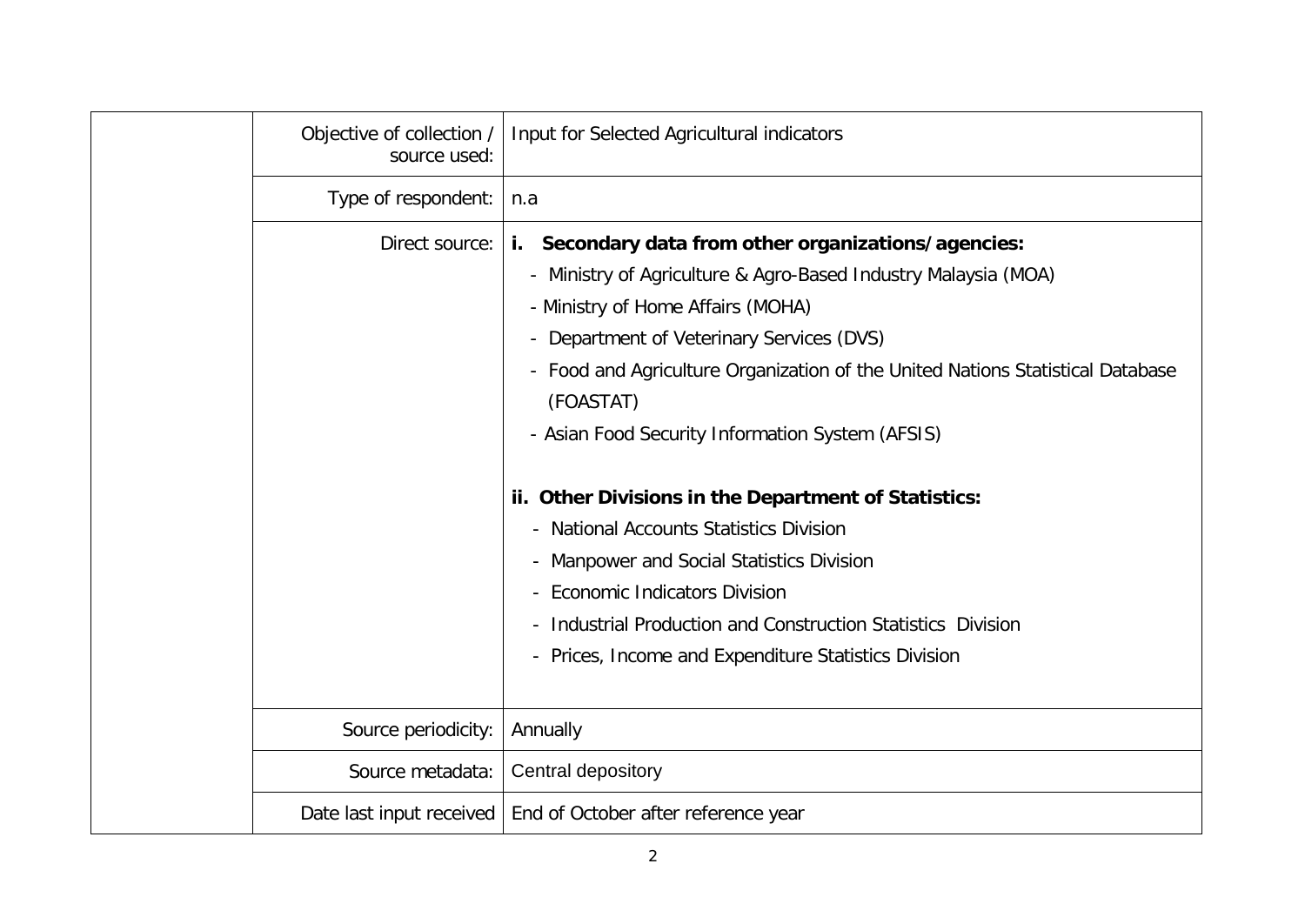| Objective of collection /<br>source used: | Input for Selected Agricultural indicators                                                                                                                                                                                                                                                                                                                                                                                                                                                                                                                                                                                                                                                                                    |
|-------------------------------------------|-------------------------------------------------------------------------------------------------------------------------------------------------------------------------------------------------------------------------------------------------------------------------------------------------------------------------------------------------------------------------------------------------------------------------------------------------------------------------------------------------------------------------------------------------------------------------------------------------------------------------------------------------------------------------------------------------------------------------------|
| Type of respondent:                       | n.a                                                                                                                                                                                                                                                                                                                                                                                                                                                                                                                                                                                                                                                                                                                           |
| Direct source:                            | Secondary data from other organizations/agencies:<br>i.<br>- Ministry of Agriculture & Agro-Based Industry Malaysia (MOA)<br>- Ministry of Home Affairs (MOHA)<br>Department of Veterinary Services (DVS)<br>$\overline{\phantom{0}}$<br>Food and Agriculture Organization of the United Nations Statistical Database<br>$\overline{\phantom{0}}$<br>(FOASTAT)<br>- Asian Food Security Information System (AFSIS)<br>ii. Other Divisions in the Department of Statistics:<br>- National Accounts Statistics Division<br>Manpower and Social Statistics Division<br><b>Economic Indicators Division</b><br>Industrial Production and Construction Statistics Division<br>- Prices, Income and Expenditure Statistics Division |
| Source periodicity:                       | Annually                                                                                                                                                                                                                                                                                                                                                                                                                                                                                                                                                                                                                                                                                                                      |
| Source metadata:                          | Central depository                                                                                                                                                                                                                                                                                                                                                                                                                                                                                                                                                                                                                                                                                                            |
|                                           | Date last input received   End of October after reference year                                                                                                                                                                                                                                                                                                                                                                                                                                                                                                                                                                                                                                                                |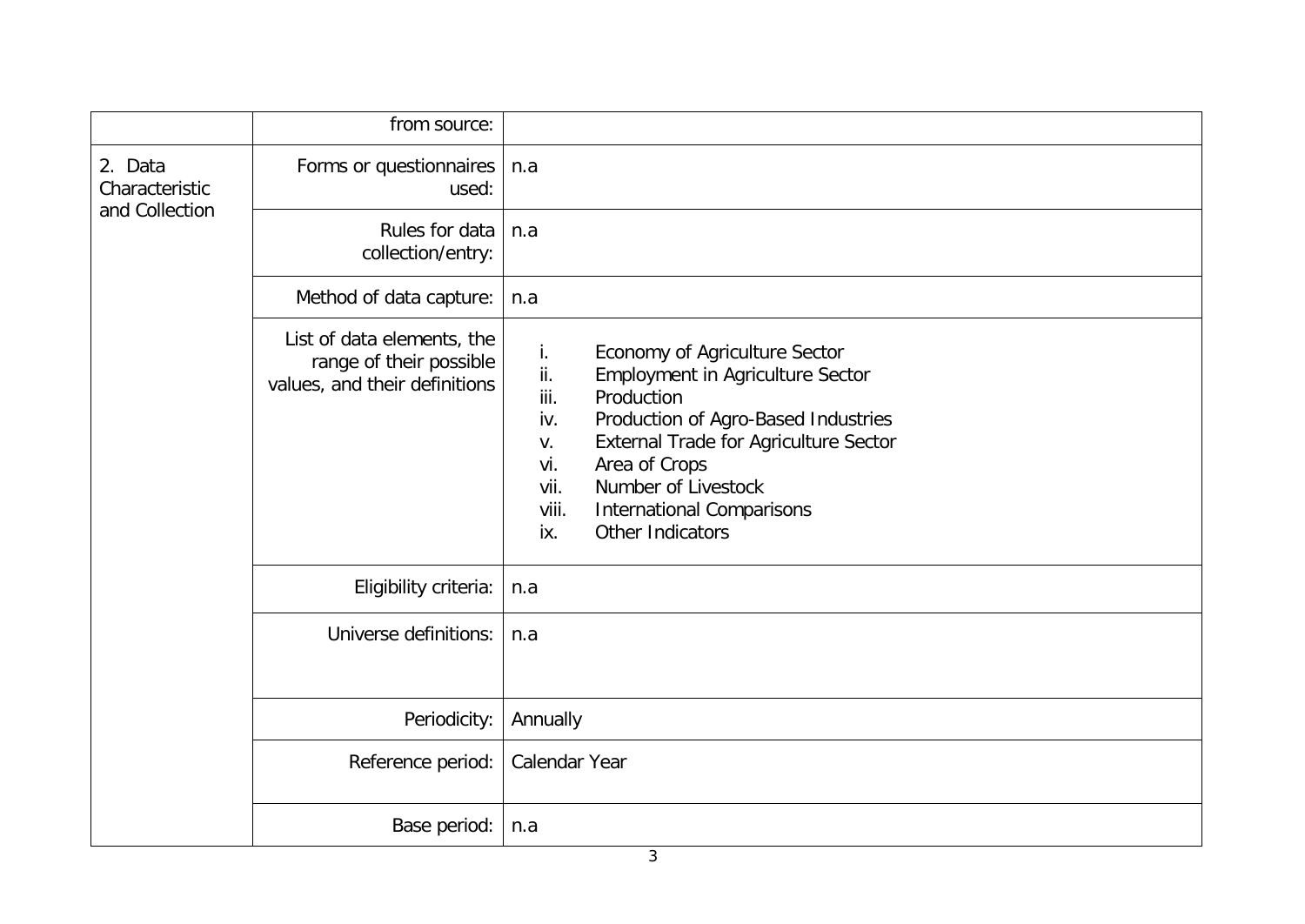|                                             | from source:                                                                           |                                                                                                                                                                                                                                                                                                                                         |
|---------------------------------------------|----------------------------------------------------------------------------------------|-----------------------------------------------------------------------------------------------------------------------------------------------------------------------------------------------------------------------------------------------------------------------------------------------------------------------------------------|
| 2. Data<br>Characteristic<br>and Collection | Forms or questionnaires<br>used:                                                       | n.a                                                                                                                                                                                                                                                                                                                                     |
|                                             | Rules for data<br>collection/entry:                                                    | n.a                                                                                                                                                                                                                                                                                                                                     |
|                                             | Method of data capture:                                                                | n.a                                                                                                                                                                                                                                                                                                                                     |
|                                             | List of data elements, the<br>range of their possible<br>values, and their definitions | Economy of Agriculture Sector<br>İ.<br>ii.<br><b>Employment in Agriculture Sector</b><br>iii.<br>Production<br>Production of Agro-Based Industries<br>iv.<br>External Trade for Agriculture Sector<br>V.<br>Area of Crops<br>vi.<br>Number of Livestock<br>vii.<br><b>International Comparisons</b><br>viii.<br>Other Indicators<br>ix. |
|                                             | Eligibility criteria:                                                                  | n.a                                                                                                                                                                                                                                                                                                                                     |
|                                             | Universe definitions:                                                                  | n.a                                                                                                                                                                                                                                                                                                                                     |
|                                             | Periodicity:                                                                           | Annually                                                                                                                                                                                                                                                                                                                                |
|                                             | Reference period:                                                                      | Calendar Year                                                                                                                                                                                                                                                                                                                           |
|                                             | Base period:                                                                           | n.a                                                                                                                                                                                                                                                                                                                                     |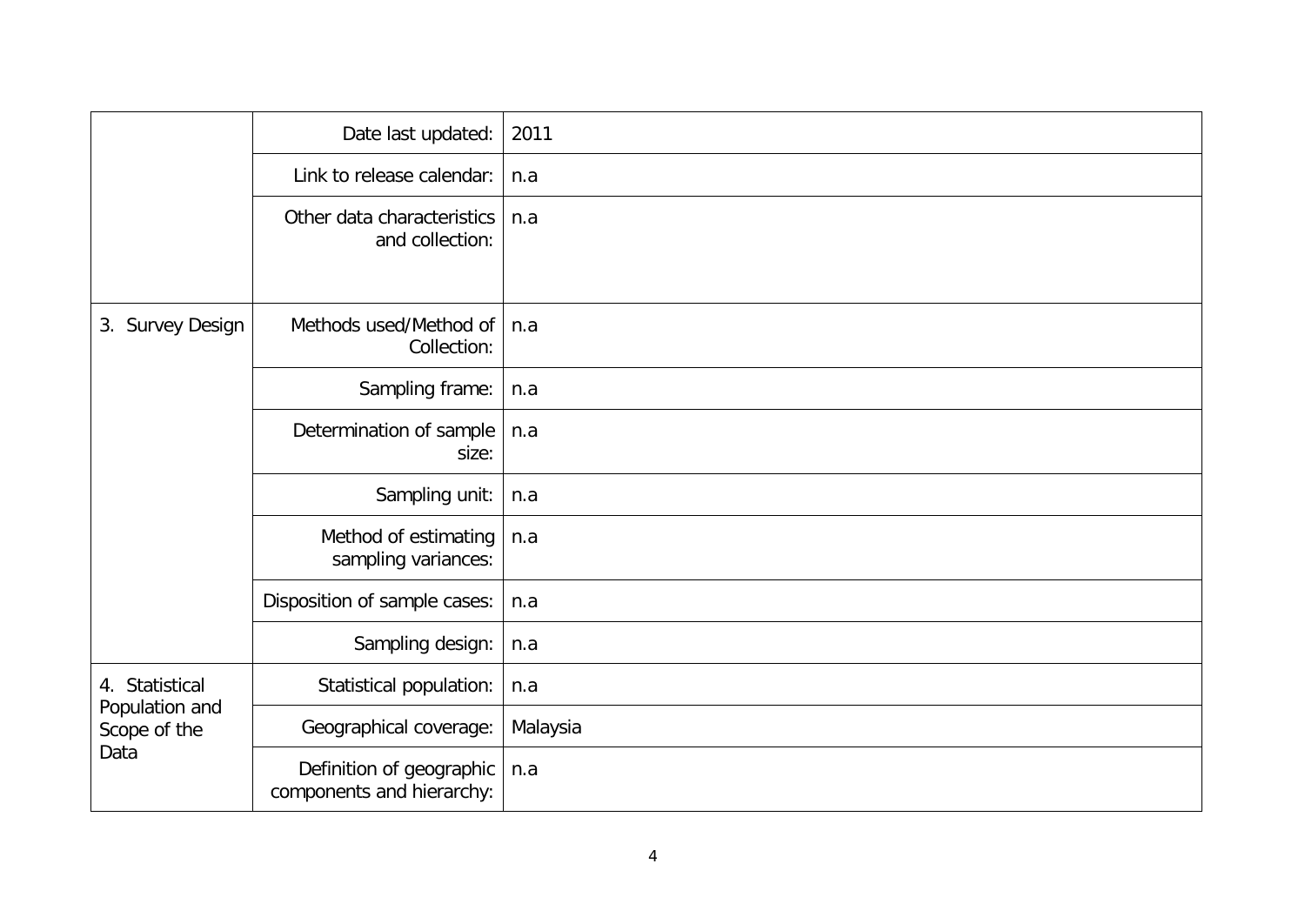|                                                          | Date last updated:                                    | 2011     |
|----------------------------------------------------------|-------------------------------------------------------|----------|
|                                                          | Link to release calendar:                             | n.a      |
|                                                          | Other data characteristics<br>and collection:         | n.a      |
| 3. Survey Design                                         | Methods used/Method of<br>Collection:                 | n.a      |
|                                                          | Sampling frame:                                       | n.a      |
|                                                          | Determination of sample<br>size:                      | n.a      |
|                                                          | Sampling unit:                                        | n.a      |
|                                                          | Method of estimating<br>sampling variances:           | n.a      |
|                                                          | Disposition of sample cases:                          | n.a      |
|                                                          | Sampling design:                                      | n.a      |
| 4. Statistical<br>Population and<br>Scope of the<br>Data | Statistical population:                               | n.a      |
|                                                          | Geographical coverage:                                | Malaysia |
|                                                          | Definition of geographic<br>components and hierarchy: | n.a      |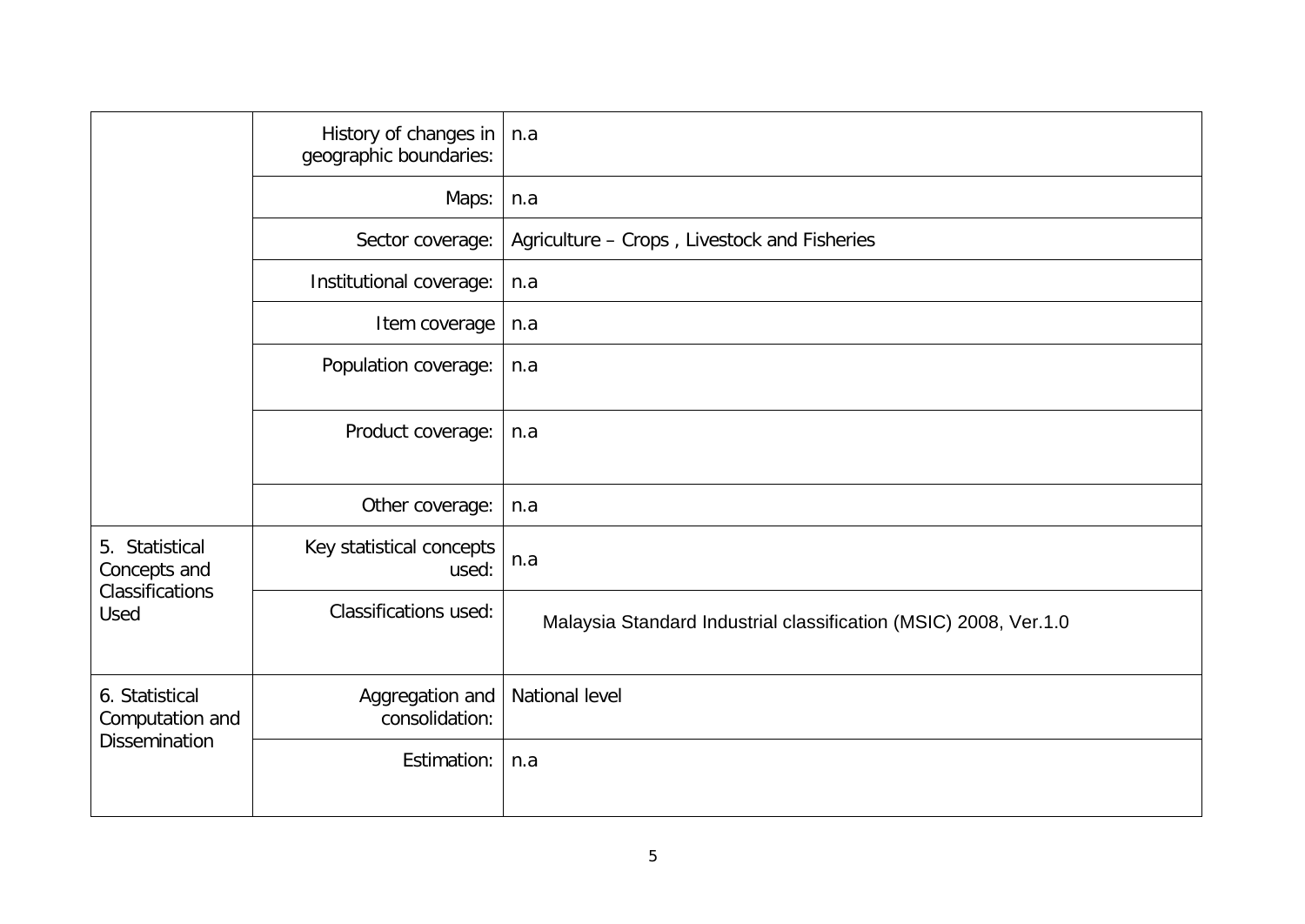|                                                           | History of changes in<br>geographic boundaries: | n.a                                                              |
|-----------------------------------------------------------|-------------------------------------------------|------------------------------------------------------------------|
|                                                           | Maps:                                           | n.a                                                              |
|                                                           | Sector coverage:                                | Agriculture - Crops, Livestock and Fisheries                     |
|                                                           | Institutional coverage:                         | n.a                                                              |
|                                                           | Item coverage                                   | n.a                                                              |
|                                                           | Population coverage:                            | n.a                                                              |
|                                                           | Product coverage:                               | n.a                                                              |
|                                                           | Other coverage:                                 | n.a                                                              |
| 5. Statistical<br>Concepts and<br>Classifications<br>Used | Key statistical concepts<br>used:               | n.a                                                              |
|                                                           | <b>Classifications used:</b>                    | Malaysia Standard Industrial classification (MSIC) 2008, Ver.1.0 |
| 6. Statistical<br>Computation and<br><b>Dissemination</b> | Aggregation and<br>consolidation:               | National level                                                   |
|                                                           | Estimation:                                     | n.a                                                              |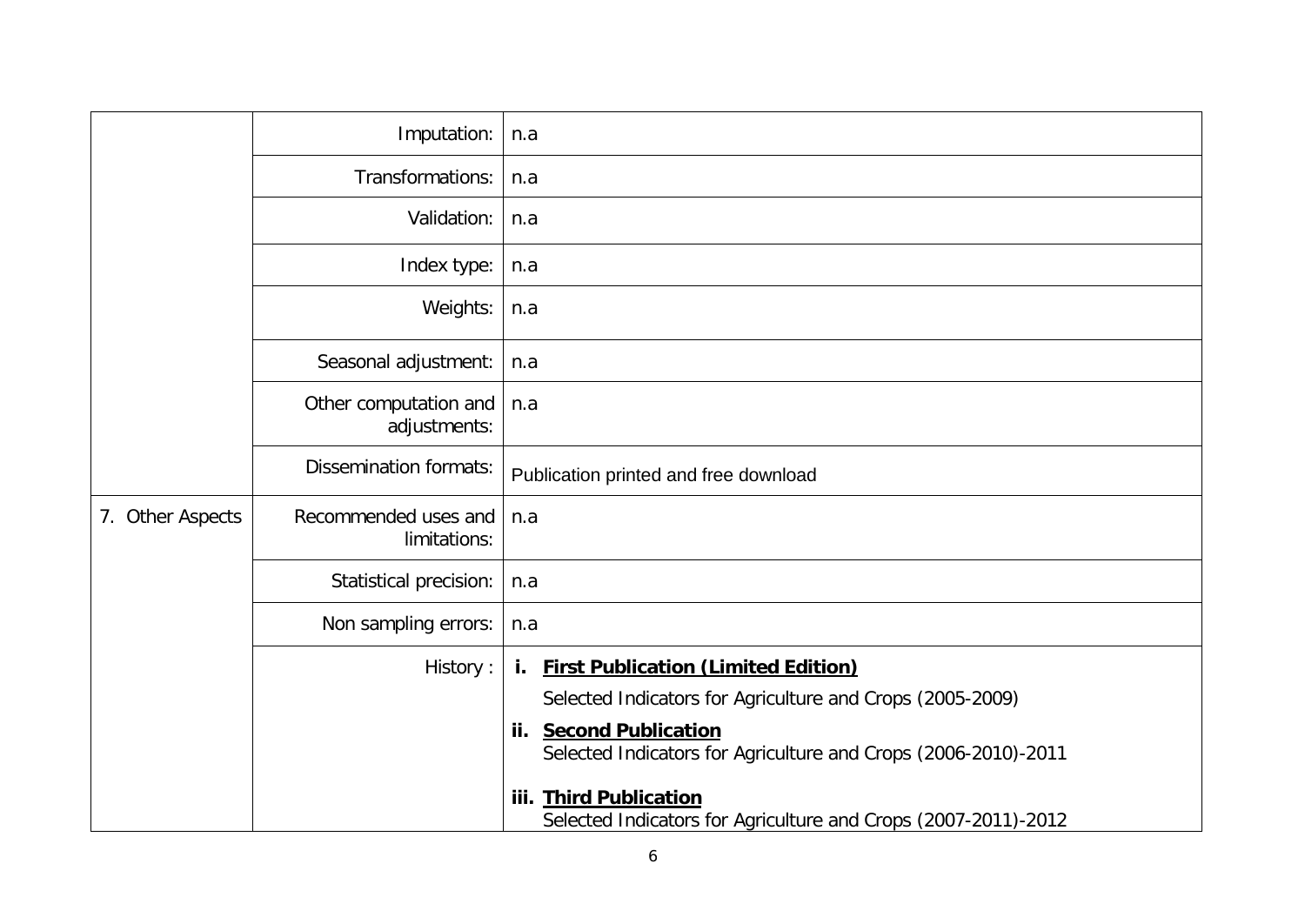|                  | Imputation:                           | n.a                                                                                                |
|------------------|---------------------------------------|----------------------------------------------------------------------------------------------------|
|                  | Transformations:                      | n.a                                                                                                |
|                  | Validation:                           | n.a                                                                                                |
|                  | Index type:                           | n.a                                                                                                |
|                  | Weights:                              | n.a                                                                                                |
|                  | Seasonal adjustment:                  | n.a                                                                                                |
|                  | Other computation and<br>adjustments: | n.a                                                                                                |
|                  | <b>Dissemination formats:</b>         | Publication printed and free download                                                              |
| 7. Other Aspects | Recommended uses and<br>limitations:  | n.a                                                                                                |
|                  | Statistical precision:                | n.a                                                                                                |
|                  | Non sampling errors:                  | n.a                                                                                                |
|                  | History:                              | i. First Publication (Limited Edition)                                                             |
|                  |                                       | Selected Indicators for Agriculture and Crops (2005-2009)                                          |
|                  |                                       | <b>Second Publication</b><br>ii.<br>Selected Indicators for Agriculture and Crops (2006-2010)-2011 |
|                  |                                       | iii. Third Publication<br>Selected Indicators for Agriculture and Crops (2007-2011)-2012           |